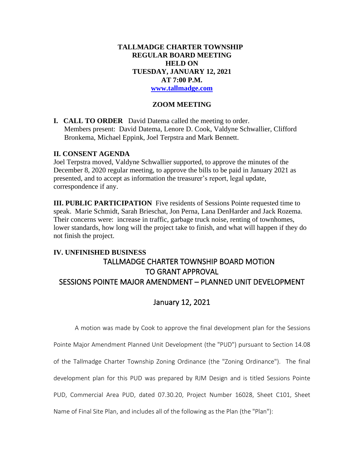### **TALLMADGE CHARTER TOWNSHIP REGULAR BOARD MEETING HELD ON TUESDAY, JANUARY 12, 2021 AT 7:00 P.M. [www.tallmadge.com](http://www.tallmadge.com/)**

# **ZOOM MEETING**

**I. CALL TO ORDER** David Datema called the meeting to order. Members present: David Datema, Lenore D. Cook, Valdyne Schwallier, Clifford Bronkema, Michael Eppink, Joel Terpstra and Mark Bennett.

### **II. CONSENT AGENDA**

Joel Terpstra moved, Valdyne Schwallier supported, to approve the minutes of the December 8, 2020 regular meeting, to approve the bills to be paid in January 2021 as presented, and to accept as information the treasurer's report, legal update, correspondence if any.

**III. PUBLIC PARTICIPATION** Five residents of Sessions Pointe requested time to speak. Marie Schmidt, Sarah Brieschat, Jon Perna, Lana DenHarder and Jack Rozema. Their concerns were: increase in traffic, garbage truck noise, renting of townhomes, lower standards, how long will the project take to finish, and what will happen if they do not finish the project.

# **IV. UNFINISHED BUSINESS** TALLMADGE CHARTER TOWNSHIP BOARD MOTION TO GRANT APPROVAL SESSIONS POINTE MAJOR AMENDMENT – PLANNED UNIT DEVELOPMENT

# January 12, 2021

A motion was made by Cook to approve the final development plan for the Sessions

Pointe Major Amendment Planned Unit Development (the "PUD") pursuant to Section 14.08 of the Tallmadge Charter Township Zoning Ordinance (the "Zoning Ordinance"). The final development plan for this PUD was prepared by RJM Design and is titled Sessions Pointe PUD, Commercial Area PUD, dated 07.30.20, Project Number 16028, Sheet C101, Sheet Name of Final Site Plan, and includes all of the following as the Plan (the "Plan"):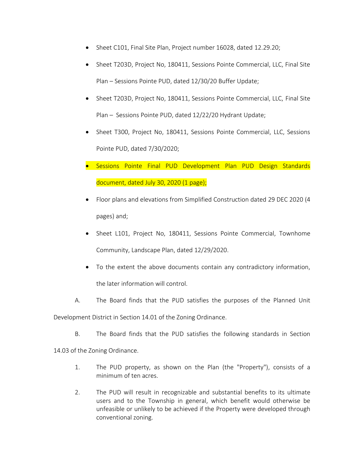- Sheet C101, Final Site Plan, Project number 16028, dated 12.29.20;
- Sheet T203D, Project No, 180411, Sessions Pointe Commercial, LLC, Final Site Plan – Sessions Pointe PUD, dated 12/30/20 Buffer Update;
- Sheet T203D, Project No, 180411, Sessions Pointe Commercial, LLC, Final Site Plan – Sessions Pointe PUD, dated 12/22/20 Hydrant Update;
- Sheet T300, Project No, 180411, Sessions Pointe Commercial, LLC, Sessions Pointe PUD, dated 7/30/2020;
- Sessions Pointe Final PUD Development Plan PUD Design Standards document, dated July 30, 2020 (1 page);
- Floor plans and elevations from Simplified Construction dated 29 DEC 2020 (4 pages) and;
- Sheet L101, Project No, 180411, Sessions Pointe Commercial, Townhome Community, Landscape Plan, dated 12/29/2020.
- To the extent the above documents contain any contradictory information, the later information will control.
- A. The Board finds that the PUD satisfies the purposes of the Planned Unit

Development District in Section 14.01 of the Zoning Ordinance.

B. The Board finds that the PUD satisfies the following standards in Section

14.03 of the Zoning Ordinance.

- 1. The PUD property, as shown on the Plan (the "Property"), consists of a minimum of ten acres.
- 2. The PUD will result in recognizable and substantial benefits to its ultimate users and to the Township in general, which benefit would otherwise be unfeasible or unlikely to be achieved if the Property were developed through conventional zoning.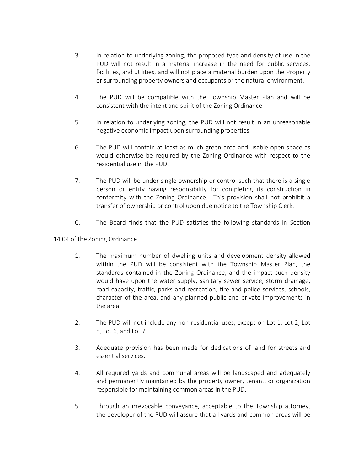- 3. In relation to underlying zoning, the proposed type and density of use in the PUD will not result in a material increase in the need for public services, facilities, and utilities, and will not place a material burden upon the Property or surrounding property owners and occupants or the natural environment.
- 4. The PUD will be compatible with the Township Master Plan and will be consistent with the intent and spirit of the Zoning Ordinance.
- 5. In relation to underlying zoning, the PUD will not result in an unreasonable negative economic impact upon surrounding properties.
- 6. The PUD will contain at least as much green area and usable open space as would otherwise be required by the Zoning Ordinance with respect to the residential use in the PUD.
- 7. The PUD will be under single ownership or control such that there is a single person or entity having responsibility for completing its construction in conformity with the Zoning Ordinance. This provision shall not prohibit a transfer of ownership or control upon due notice to the Township Clerk.
- C. The Board finds that the PUD satisfies the following standards in Section

14.04 of the Zoning Ordinance.

- 1. The maximum number of dwelling units and development density allowed within the PUD will be consistent with the Township Master Plan, the standards contained in the Zoning Ordinance, and the impact such density would have upon the water supply, sanitary sewer service, storm drainage, road capacity, traffic, parks and recreation, fire and police services, schools, character of the area, and any planned public and private improvements in the area.
- 2. The PUD will not include any non-residential uses, except on Lot 1, Lot 2, Lot 5, Lot 6, and Lot 7.
- 3. Adequate provision has been made for dedications of land for streets and essential services.
- 4. All required yards and communal areas will be landscaped and adequately and permanently maintained by the property owner, tenant, or organization responsible for maintaining common areas in the PUD.
- 5. Through an irrevocable conveyance, acceptable to the Township attorney, the developer of the PUD will assure that all yards and common areas will be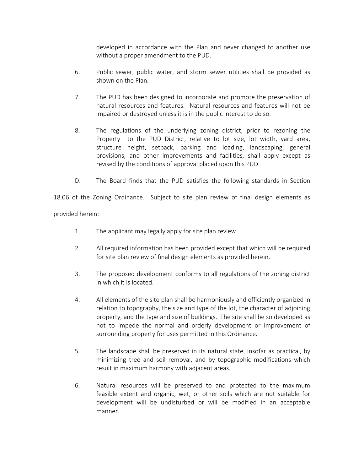developed in accordance with the Plan and never changed to another use without a proper amendment to the PUD.

- 6. Public sewer, public water, and storm sewer utilities shall be provided as shown on the Plan.
- 7. The PUD has been designed to incorporate and promote the preservation of natural resources and features. Natural resources and features will not be impaired or destroyed unless it is in the public interest to do so.
- 8. The regulations of the underlying zoning district, prior to rezoning the Property to the PUD District, relative to lot size, lot width, yard area, structure height, setback, parking and loading, landscaping, general provisions, and other improvements and facilities, shall apply except as revised by the conditions of approval placed upon this PUD.
- D. The Board finds that the PUD satisfies the following standards in Section

18.06 of the Zoning Ordinance. Subject to site plan review of final design elements as provided herein:

- 1. The applicant may legally apply for site plan review.
- 2. All required information has been provided except that which will be required for site plan review of final design elements as provided herein.
- 3. The proposed development conforms to all regulations of the zoning district in which it is located.
- 4. All elements of the site plan shall be harmoniously and efficiently organized in relation to topography, the size and type of the lot, the character of adjoining property, and the type and size of buildings. The site shall be so developed as not to impede the normal and orderly development or improvement of surrounding property for uses permitted in this Ordinance.
- 5. The landscape shall be preserved in its natural state, insofar as practical, by minimizing tree and soil removal, and by topographic modifications which result in maximum harmony with adjacent areas.
- 6. Natural resources will be preserved to and protected to the maximum feasible extent and organic, wet, or other soils which are not suitable for development will be undisturbed or will be modified in an acceptable manner.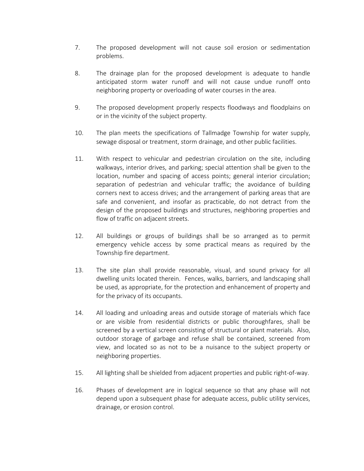- 7. The proposed development will not cause soil erosion or sedimentation problems.
- 8. The drainage plan for the proposed development is adequate to handle anticipated storm water runoff and will not cause undue runoff onto neighboring property or overloading of water courses in the area.
- 9. The proposed development properly respects floodways and floodplains on or in the vicinity of the subject property.
- 10. The plan meets the specifications of Tallmadge Township for water supply, sewage disposal or treatment, storm drainage, and other public facilities.
- 11. With respect to vehicular and pedestrian circulation on the site, including walkways, interior drives, and parking; special attention shall be given to the location, number and spacing of access points; general interior circulation; separation of pedestrian and vehicular traffic; the avoidance of building corners next to access drives; and the arrangement of parking areas that are safe and convenient, and insofar as practicable, do not detract from the design of the proposed buildings and structures, neighboring properties and flow of traffic on adjacent streets.
- 12. All buildings or groups of buildings shall be so arranged as to permit emergency vehicle access by some practical means as required by the Township fire department.
- 13. The site plan shall provide reasonable, visual, and sound privacy for all dwelling units located therein. Fences, walks, barriers, and landscaping shall be used, as appropriate, for the protection and enhancement of property and for the privacy of its occupants.
- 14. All loading and unloading areas and outside storage of materials which face or are visible from residential districts or public thoroughfares, shall be screened by a vertical screen consisting of structural or plant materials. Also, outdoor storage of garbage and refuse shall be contained, screened from view, and located so as not to be a nuisance to the subject property or neighboring properties.
- 15. All lighting shall be shielded from adjacent properties and public right-of-way.
- 16. Phases of development are in logical sequence so that any phase will not depend upon a subsequent phase for adequate access, public utility services, drainage, or erosion control.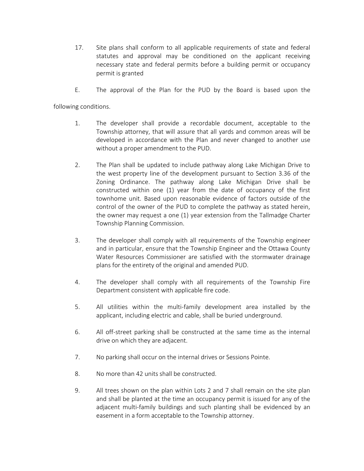- 17. Site plans shall conform to all applicable requirements of state and federal statutes and approval may be conditioned on the applicant receiving necessary state and federal permits before a building permit or occupancy permit is granted
- E. The approval of the Plan for the PUD by the Board is based upon the

following conditions.

- 1. The developer shall provide a recordable document, acceptable to the Township attorney, that will assure that all yards and common areas will be developed in accordance with the Plan and never changed to another use without a proper amendment to the PUD.
- 2. The Plan shall be updated to include pathway along Lake Michigan Drive to the west property line of the development pursuant to Section 3.36 of the Zoning Ordinance. The pathway along Lake Michigan Drive shall be constructed within one (1) year from the date of occupancy of the first townhome unit. Based upon reasonable evidence of factors outside of the control of the owner of the PUD to complete the pathway as stated herein, the owner may request a one (1) year extension from the Tallmadge Charter Township Planning Commission.
- 3. The developer shall comply with all requirements of the Township engineer and in particular, ensure that the Township Engineer and the Ottawa County Water Resources Commissioner are satisfied with the stormwater drainage plans for the entirety of the original and amended PUD.
- 4. The developer shall comply with all requirements of the Township Fire Department consistent with applicable fire code.
- 5. All utilities within the multi-family development area installed by the applicant, including electric and cable, shall be buried underground.
- 6. All off-street parking shall be constructed at the same time as the internal drive on which they are adjacent.
- 7. No parking shall occur on the internal drives or Sessions Pointe.
- 8. No more than 42 units shall be constructed.
- 9. All trees shown on the plan within Lots 2 and 7 shall remain on the site plan and shall be planted at the time an occupancy permit is issued for any of the adjacent multi-family buildings and such planting shall be evidenced by an easement in a form acceptable to the Township attorney.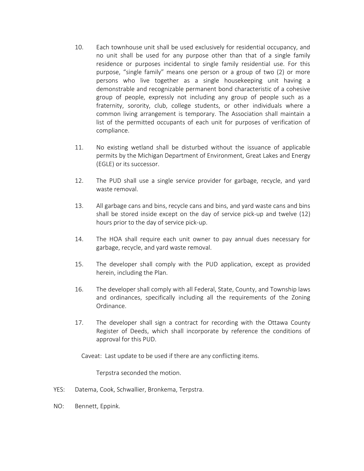- 10. Each townhouse unit shall be used exclusively for residential occupancy, and no unit shall be used for any purpose other than that of a single family residence or purposes incidental to single family residential use. For this purpose, "single family" means one person or a group of two (2) or more persons who live together as a single housekeeping unit having a demonstrable and recognizable permanent bond characteristic of a cohesive group of people, expressly not including any group of people such as a fraternity, sorority, club, college students, or other individuals where a common living arrangement is temporary. The Association shall maintain a list of the permitted occupants of each unit for purposes of verification of compliance.
- 11. No existing wetland shall be disturbed without the issuance of applicable permits by the Michigan Department of Environment, Great Lakes and Energy (EGLE) or its successor.
- 12. The PUD shall use a single service provider for garbage, recycle, and yard waste removal.
- 13. All garbage cans and bins, recycle cans and bins, and yard waste cans and bins shall be stored inside except on the day of service pick-up and twelve (12) hours prior to the day of service pick-up.
- 14. The HOA shall require each unit owner to pay annual dues necessary for garbage, recycle, and yard waste removal.
- 15. The developer shall comply with the PUD application, except as provided herein, including the Plan.
- 16. The developer shall comply with all Federal, State, County, and Township laws and ordinances, specifically including all the requirements of the Zoning Ordinance.
- 17. The developer shall sign a contract for recording with the Ottawa County Register of Deeds, which shall incorporate by reference the conditions of approval for this PUD.

Caveat: Last update to be used if there are any conflicting items.

Terpstra seconded the motion.

- YES: Datema, Cook, Schwallier, Bronkema, Terpstra.
- NO: Bennett, Eppink.